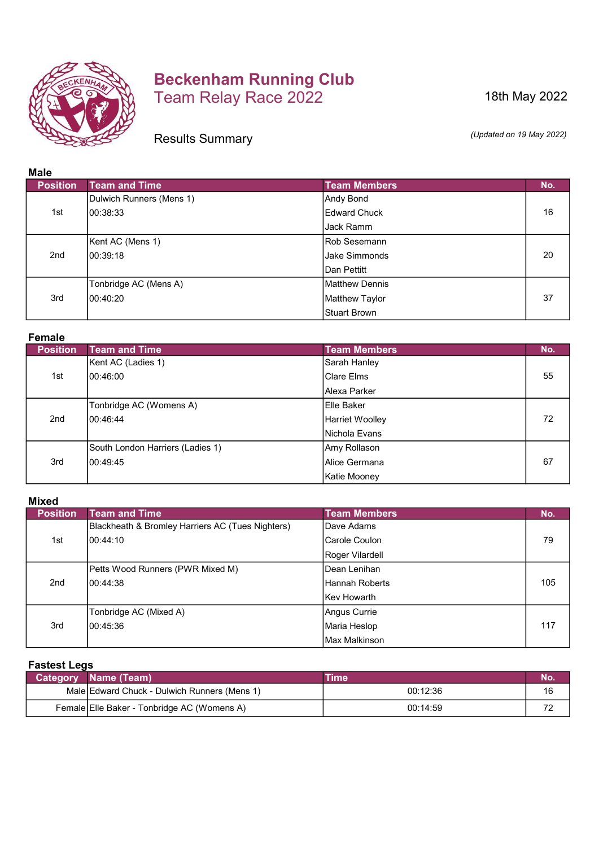

# Beckenham Running Club Team Relay Race 2022

18th May 2022

Results Summary

(Updated on 19 May 2022)

# Male

| Mar             |                          |                      |     |
|-----------------|--------------------------|----------------------|-----|
| <b>Position</b> | <b>Team and Time</b>     | <b>Team Members</b>  | No. |
|                 | Dulwich Runners (Mens 1) | Andy Bond            |     |
| 1st             | 100:38:33                | <b>Edward Chuck</b>  | 16  |
|                 |                          | Jack Ramm            |     |
|                 | Kent AC (Mens 1)         | Rob Sesemann         |     |
| 2 <sub>nd</sub> | 100:39:18                | <b>Jake Simmonds</b> | 20  |
|                 |                          | IDan Pettitt         |     |
|                 | Tonbridge AC (Mens A)    | Matthew Dennis       |     |
| 3rd             | 100:40:20                | Matthew Taylor       | 37  |
|                 |                          | Stuart Brown         |     |

#### Female

| <b>Position</b> | <b>Team and Time</b>             | <b>Team Members</b> | No. |
|-----------------|----------------------------------|---------------------|-----|
|                 | Kent AC (Ladies 1)               | Sarah Hanley        |     |
| 1st             | 100:46:00                        | Clare Elms          | 55  |
|                 |                                  | IAlexa Parker       |     |
|                 | Tonbridge AC (Womens A)          | Elle Baker          |     |
| 2nd             | 100:46:44                        | Harriet Woolley     | 72  |
|                 |                                  | INichola Evans      |     |
|                 | South London Harriers (Ladies 1) | Amy Rollason        |     |
| 3rd             | 100:49:45                        | IAlice Germana      | 67  |
|                 |                                  | Katie Mooney        |     |

## Mixed

| <b>Position</b> | <b>Team and Time</b>                             | <b>Team Members</b> | No. |
|-----------------|--------------------------------------------------|---------------------|-----|
|                 | Blackheath & Bromley Harriers AC (Tues Nighters) | Dave Adams          |     |
| 1st             | 100:44:10                                        | Carole Coulon       | 79  |
|                 |                                                  | Roger Vilardell     |     |
|                 | Petts Wood Runners (PWR Mixed M)                 | Dean Lenihan        |     |
| 2 <sub>nd</sub> | 100:44:38                                        | Hannah Roberts      | 105 |
|                 |                                                  | IKev Howarth        |     |
|                 | Tonbridge AC (Mixed A)                           | Angus Currie        |     |
| 3rd             | 100:45:36                                        | Maria Heslop        | 117 |
|                 |                                                  | Max Malkinson       |     |

### Fastest Legs

| <b>Category</b> | Name (Team)                                  | <b>Time</b> | 'NO. |
|-----------------|----------------------------------------------|-------------|------|
|                 | Male Edward Chuck - Dulwich Runners (Mens 1) | 00:12:36    | 16   |
|                 | Female Elle Baker - Tonbridge AC (Womens A)  | 00:14:59    | 7€   |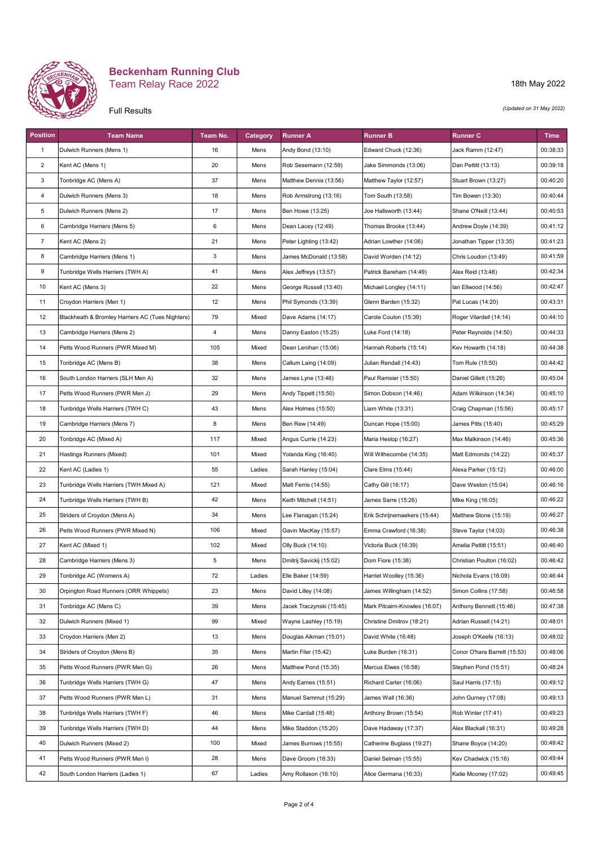

#### Beckenham Running Club Team Relay Race 2022

#### Full Results

18th May 2022

(Updated on 31 May 2022)

| <b>Position</b> | <b>Team Name</b>                                 | Team No.       | Category | <b>Runner A</b>          | <b>Runner B</b>               | <b>Runner C</b>              | <b>Time</b> |
|-----------------|--------------------------------------------------|----------------|----------|--------------------------|-------------------------------|------------------------------|-------------|
| $\mathbf{1}$    | Dulwich Runners (Mens 1)                         | 16             | Mens     | Andy Bond (13:10)        | Edward Chuck (12:36)          | Jack Ramm (12:47)            | 00:38:33    |
| $\overline{c}$  | Kent AC (Mens 1)                                 | 20             | Mens     | Rob Sesemann (12:59)     | Jake Simmonds (13:06)         | Dan Pettitt (13:13)          | 00:39:18    |
| 3               | Tonbridge AC (Mens A)                            | 37             | Mens     | Matthew Dennis (13:56)   | Matthew Taylor (12:57)        | Stuart Brown (13:27)         | 00:40:20    |
| 4               | Dulwich Runners (Mens 3)                         | 18             | Mens     | Rob Armstrong (13:16)    | Tom South (13:58)             | Tim Bowen (13:30)            | 00:40:44    |
| 5               | Dulwich Runners (Mens 2)                         | 17             | Mens     | Ben Howe (13:25)         | Joe Hallsworth (13:44)        | Shane O'Neill (13:44)        | 00:40:53    |
| 6               | Cambridge Harriers (Mens 5)                      | 6              | Mens     | Dean Lacey (12:49)       | Thomas Brooke (13:44)         | Andrew Doyle (14:39)         | 00:41:12    |
| $\overline{7}$  | Kent AC (Mens 2)                                 | 21             | Mens     | Peter Lighting (13:42)   | Adrian Lowther (14:06)        | Jonathan Tipper (13:35)      | 00:41:23    |
| 8               | Cambridge Harriers (Mens 1)                      | 3              | Mens     | James McDonald (13:58)   | David Worden (14:12)          | Chris Loudon (13:49)         | 00:41:59    |
| 9               | Tunbridge Wells Harriers (TWH A)                 | 41             | Mens     | Alex Jeffreys (13:57)    | Patrick Bareham (14:49)       | Alex Reid (13:48)            | 00:42:34    |
| 10              | Kent AC (Mens 3)                                 | 22             | Mens     | George Russell (13:40)   | Michael Longley (14:11)       | lan Ellwood (14:56)          | 00:42:47    |
| 11              | Croydon Harriers (Men 1)                         | 12             | Mens     | Phil Symonds (13:39)     | Glenn Barden (15:32)          | Pat Lucas (14:20)            | 00:43:31    |
| 12              | Blackheath & Bromley Harriers AC (Tues Nighters) | 79             | Mixed    | Dave Adams (14:17)       | Carole Coulon (15:39)         | Roger Vilardell (14:14)      | 00:44:10    |
| 13              | Cambridge Harriers (Mens 2)                      | $\overline{4}$ | Mens     | Danny Easton (15:25)     | Luke Ford (14:18)             | Peter Reynolds (14:50)       | 00:44:33    |
| 14              | Petts Wood Runners (PWR Mixed M)                 | 105            | Mixed    | Dean Lenihan (15:06)     | Hannah Roberts (15:14)        | Kev Howarth (14:18)          | 00:44:38    |
| 15              | Tonbridge AC (Mens B)                            | 38             | Mens     | Callum Laing (14:09)     | Julian Rendall (14:43)        | Tom Rule (15:50)             | 00:44:42    |
| 16              | South London Harriers (SLH Men A)                | 32             | Mens     | James Lyne (13:48)       | Paul Ramsier (15:50)          | Daniel Gillett (15:26)       | 00:45:04    |
| 17              | Petts Wood Runners (PWR Men J)                   | 29             | Mens     | Andy Tippett (15:50)     | Simon Dobson (14:46)          | Adam Wilkinson (14:34)       | 00:45:10    |
| 18              | Tunbridge Wells Harriers (TWH C)                 | 43             | Mens     | Alex Holmes (15:50)      | Liam White (13:31)            | Craig Chapman (15:56)        | 00:45:17    |
| 19              | Cambridge Harriers (Mens 7)                      | 8              | Mens     | Ben Rew (14:49)          | Duncan Hope (15:00)           | James Pitts (15:40)          | 00:45:29    |
| 20              | Tonbridge AC (Mixed A)                           | 117            | Mixed    | Angus Currie (14:23)     | Maria Heslop (16:27)          | Max Malkinson (14:46)        | 00:45:36    |
| 21              | Hastings Runners (Mixed)                         | 101            | Mixed    | Yolanda King (16:40)     | Will Withecombe (14:35)       | Matt Edmonds (14:22)         | 00:45:37    |
| 22              | Kent AC (Ladies 1)                               | 55             | Ladies   | Sarah Hanley (15:04)     | Clare Elms (15:44)            | Alexa Parker (15:12)         | 00:46:00    |
| 23              | Tunbridge Wells Harriers (TWH Mixed A)           | 121            | Mixed    | Matt Ferris (14:55)      | Cathy Gill (16:17)            | Dave Weston (15:04)          | 00:46:16    |
| 24              | Tunbridge Wells Harriers (TWH B)                 | 42             | Mens     | Keith Mitchell (14:51)   | James Sarre (15:26)           | Mike King (16:05)            | 00:46:22    |
| 25              | Striders of Croydon (Mens A)                     | 34             | Mens     | Lee Flanagan (15:24)     | Erik Schrijnemaekers (15:44)  | Matthew Stone (15:19)        | 00:46:27    |
| 26              | Petts Wood Runners (PWR Mixed N)                 | 106            | Mixed    | Gavin MacKay (15:57)     | Emma Crawford (16:38)         | Steve Taylor (14:03)         | 00:46:38    |
| 27              | Kent AC (Mixed 1)                                | 102            | Mixed    | Olly Buck (14:10)        | Victoria Buck (16:39)         | Amelia Pettitt (15:51)       | 00:46:40    |
| 28              | Cambridge Harriers (Mens 3)                      | 5              | Mens     | Dmitrij Savickij (15:02) | Dom Fiore (15:38)             | Christian Poulton (16:02)    | 00:46:42    |
| 29              | Tonbridge AC (Womens A)                          | 72             | Ladies   | Elle Baker (14:59)       | Harriet Woolley (15:36)       | Nichola Evans (16:09)        | 00:46:44    |
| 30              | Orpington Road Runners (ORR Whippets)            | 23             | Mens     | David Lilley (14:08)     | James Willingham (14:52)      | Simon Collins (17:58)        | 00:46:58    |
| 31              | Tonbridge AC (Mens C)                            | 39             | Mens     | Jacek Traczynski (15:45) | Mark Pitcairn-Knowles (16:07) | Anthony Bennett (15:46)      | 00:47:38    |
| 32              | Dulwich Runners (Mixed 1)                        | 99             | Mixed    | Wayne Lashley (15:19)    | Christine Dmitrov (18:21)     | Adrian Russell (14:21)       | 00:48:01    |
| 33              | Croydon Harriers (Men 2)                         | 13             | Mens     | Douglas Aikman (15:01)   | David White (16:48)           | Joseph O'Keefe (16:13)       | 00:48:02    |
| 34              | Striders of Croydon (Mens B)                     | 35             | Mens     | Martin Filer (15:42)     | Luke Burden (16:31)           | Conor O'hara Barrett (15:53) | 00:48:06    |
| 35              | Petts Wood Runners (PWR Men G)                   | 26             | Mens     | Matthew Pond (15:35)     | Marcus Elwes (16:58)          | Stephen Pond (15:51)         | 00:48:24    |
| 36              | Tunbridge Wells Harriers (TWH G)                 | 47             | Mens     | Andy Eames (15:51)       | Richard Carter (16:06)        | Saul Harris (17:15)          | 00:49:12    |
| 37              | Petts Wood Runners (PWR Men L)                   | 31             | Mens     | Manuel Sammut (15:29)    | James Wall (16:36)            | John Gurney (17:08)          | 00:49:13    |
| 38              | Tunbridge Wells Harriers (TWH F)                 | 46             | Mens     | Mike Cardall (15:48)     | Anthony Brown (15:54)         | Rob Winter (17:41)           | 00:49:23    |
| 39              | Tunbridge Wells Harriers (TWH D)                 | 44             | Mens     | Mike Staddon (15:20)     | Dave Hadaway (17:37)          | Alex Blackall (16:31)        | 00:49:28    |
| 40              | Dulwich Runners (Mixed 2)                        | 100            | Mixed    | James Burrows (15:55)    | Catherine Buglass (19:27)     | Shane Boyce (14:20)          | 00:49:42    |
| 41              | Petts Wood Runners (PWR Men I)                   | 28             | Mens     | Dave Groom (18:33)       | Daniel Selman (15:55)         | Kev Chadwick (15:16)         | 00:49:44    |
| 42              | South London Harriers (Ladies 1)                 | 67             | Ladies   | Amy Rollason (16:10)     | Alice Germana (16:33)         | Katie Mooney (17:02)         | 00:49:45    |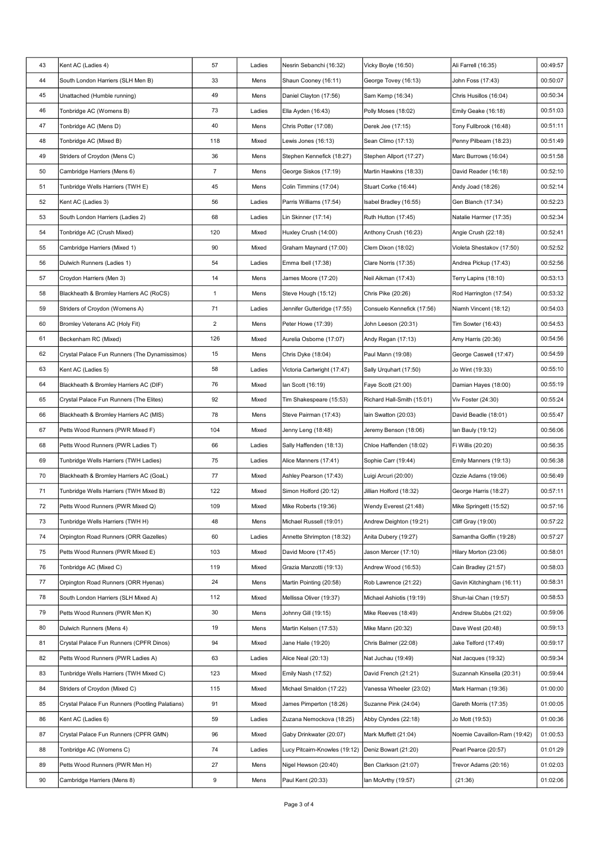| 43 | Kent AC (Ladies 4)                              | 57             | Ladies         | Nesrin Sebanchi (16:32)       | Vicky Boyle (16:50)        | Ali Farrell (16:35)          | 00:49:57 |
|----|-------------------------------------------------|----------------|----------------|-------------------------------|----------------------------|------------------------------|----------|
| 44 | South London Harriers (SLH Men B)               | 33             | Mens           | Shaun Cooney (16:11)          | George Tovey (16:13)       | John Foss (17:43)            | 00:50:07 |
| 45 | Unattached (Humble running)                     | 49             | Mens           | Daniel Clayton (17:56)        | Sam Kemp (16:34)           | Chris Husillos (16:04)       | 00:50:34 |
| 46 | Tonbridge AC (Womens B)                         | 73             | Ladies         | Ella Ayden (16:43)            | Polly Moses (18:02)        | Emily Geake (16:18)          | 00:51:03 |
| 47 | Tonbridge AC (Mens D)                           | 40             | Mens           | Chris Potter (17:08)          | Derek Jee (17:15)          | Tony Fullbrook (16:48)       | 00:51:11 |
| 48 | Tonbridge AC (Mixed B)                          | 118            | Mixed          | Lewis Jones (16:13)           | Sean Climo (17:13)         | Penny Pilbeam (18:23)        | 00:51:49 |
| 49 | Striders of Croydon (Mens C)                    | 36             | Mens           | Stephen Kennefick (18:27)     | Stephen Allport (17:27)    | Marc Burrows (16:04)         | 00:51:58 |
| 50 | Cambridge Harriers (Mens 6)                     | $\overline{7}$ | Mens           | George Siskos (17:19)         | Martin Hawkins (18:33)     | David Reader (16:18)         | 00:52:10 |
| 51 | Tunbridge Wells Harriers (TWH E)                | 45             | Mens           | Colin Timmins (17:04)         | Stuart Corke (16:44)       | Andy Joad (18:26)            | 00:52:14 |
| 52 | Kent AC (Ladies 3)                              | 56             | Ladies         | Parris Williams (17:54)       | Isabel Bradley (16:55)     | Gen Blanch (17:34)           | 00:52:23 |
| 53 | South London Harriers (Ladies 2)                | 68             | Ladies         | Lin Skinner (17:14)           | Ruth Hutton (17:45)        | Natalie Harmer (17:35)       | 00:52:34 |
| 54 | Tonbridge AC (Crush Mixed)                      | 120            | Mixed          | Huxley Crush (14:00)          | Anthony Crush (16:23)      | Angie Crush (22:18)          | 00:52:41 |
| 55 | Cambridge Harriers (Mixed 1)                    | 90             | Mixed          | Graham Maynard (17:00)        | Clem Dixon (18:02)         | Violeta Shestakov (17:50)    | 00:52:52 |
| 56 | Dulwich Runners (Ladies 1)                      | 54             | Ladies         | Emma Ibell (17:38)            | Clare Norris (17:35)       | Andrea Pickup (17:43)        | 00:52:56 |
| 57 | Croydon Harriers (Men 3)                        | 14             | Mens           | James Moore (17:20)           | Neil Aikman (17:43)        | Terry Lapins (18:10)         | 00:53:13 |
| 58 | Blackheath & Bromley Harriers AC (RoCS)         | $\mathbf{1}$   | Mens           | Steve Hough (15:12)           | Chris Pike (20:26)         | Rod Harrington (17:54)       | 00:53:32 |
| 59 | Striders of Croydon (Womens A)                  | 71             | Ladies         | Jennifer Gutteridge (17:55)   | Consuelo Kennefick (17:56) | Niamh Vincent (18:12)        | 00:54:03 |
| 60 | Bromley Veterans AC (Holy Fit)                  | $\overline{2}$ | Mens           | Peter Howe (17:39)            | John Leeson (20:31)        | Tim Sowter (16:43)           | 00:54:53 |
| 61 | Beckenham RC (Mixed)                            | 126            | Mixed          | Aurelia Osborne (17:07)       | Andy Regan (17:13)         | Amy Harris (20:36)           | 00:54:56 |
| 62 | Crystal Palace Fun Runners (The Dynamissimos)   | 15             | Mens           | Chris Dyke (18:04)            | Paul Mann (19:08)          | George Caswell (17:47)       | 00:54:59 |
| 63 | Kent AC (Ladies 5)                              | 58             | Ladies         | Victoria Cartwright (17:47)   | Sally Urquhart (17:50)     | Jo Wint (19:33)              | 00:55:10 |
| 64 | Blackheath & Bromley Harriers AC (DIF)          | 76             | Mixed          | lan Scott (16:19)             | Faye Scott (21:00)         | Damian Hayes (18:00)         | 00:55:19 |
| 65 | Crystal Palace Fun Runners (The Elites)         | 92             | Mixed          | Tim Shakespeare (15:53)       | Richard Hall-Smith (15:01) | Viv Foster (24:30)           | 00:55:24 |
| 66 | Blackheath & Bromley Harriers AC (MIS)          | 78             | Mens           | Steve Pairman (17:43)         | lain Swatton (20:03)       | David Beadle (18:01)         | 00:55:47 |
| 67 | Petts Wood Runners (PWR Mixed F)                | 104            | Mixed          | Jenny Leng (18:48)            | Jeremy Benson (18:06)      | lan Bauly (19:12)            | 00:56:06 |
| 68 | Petts Wood Runners (PWR Ladies T)               | 66             | Ladies         | Sally Haffenden (18:13)       | Chloe Haffenden (18:02)    | Fi Willis (20:20)            | 00:56:35 |
| 69 | Tunbridge Wells Harriers (TWH Ladies)           | 75             | Ladies         | Alice Manners (17:41)         | Sophie Carr (19:44)        | Emily Manners (19:13)        | 00:56:38 |
| 70 | Blackheath & Bromley Harriers AC (GoaL)         | 77             | Mixed          | Ashley Pearson (17:43)        | Luigi Arcuri (20:00)       | Ozzie Adams (19:06)          | 00:56:49 |
| 71 | Tunbridge Wells Harriers (TWH Mixed B)          | 122            | Mixed          | Simon Holford (20:12)         | Jillian Holford (18:32)    | George Harris (18:27)        | 00:57:11 |
| 72 | Petts Wood Runners (PWR Mixed Q)                | 109            | Mixed          | Mike Roberts (19:36)          | Wendy Everest (21:48)      | Mike Springett (15:52)       | 00:57:16 |
| 73 | Tunbridge Wells Harriers (TWH H)                | 48             | Mens           | Michael Russell (19:01)       | Andrew Deighton (19:21)    | Cliff Gray (19:00)           | 00:57:22 |
| 74 | Orpington Road Runners (ORR Gazelles)           | 60             | Ladies         | Annette Shrimpton (18:32)     | Anita Dubery (19:27)       | Samantha Goffin (19:28)      | 00:57:27 |
| 75 | Petts Wood Runners (PWR Mixed E)                | 103            | Mixed          | David Moore (17:45)           | Jason Mercer (17:10)       | Hilary Morton (23:06)        | 00:58:01 |
| 76 | Tonbridge AC (Mixed C)                          | 119            | Mixed          | Grazia Manzotti (19:13)       | Andrew Wood (16:53)        | Cain Bradley (21:57)         | 00:58:03 |
| 77 | Orpington Road Runners (ORR Hyenas)             | 24             | Mens           | Martin Pointing (20:58)       | Rob Lawrence (21:22)       | Gavin Kitchingham (16:11)    | 00:58:31 |
| 78 | South London Harriers (SLH Mixed A)             | 112            | Mixed          | Mellissa Oliver (19:37)       | Michael Ashiotis (19:19)   | Shun-lai Chan (19:57)        | 00:58:53 |
| 79 | Petts Wood Runners (PWR Men K)                  | 30             | Mens           | Johnny Gill (19:15)           | Mike Reeves (18:49)        | Andrew Stubbs (21:02)        | 00:59:06 |
| 80 | Dulwich Runners (Mens 4)                        | 19             | Mens           | Martin Kelsen (17:53)         | Mike Mann (20:32)          | Dave West (20:48)            | 00:59:13 |
| 81 | Crystal Palace Fun Runners (CPFR Dinos)         | 94             | Mixed          | Jane Haile (19:20)            | Chris Balmer (22:08)       | Jake Telford (17:49)         | 00:59:17 |
| 82 | Petts Wood Runners (PWR Ladies A)               | 63             | Ladies         | Alice Neal (20:13)            | Nat Juchau (19:49)         | Nat Jacques (19:32)          | 00:59:34 |
| 83 | Tunbridge Wells Harriers (TWH Mixed C)          | 123            |                | Emily Nash (17:52)            | David French (21:21)       | Suzannah Kinsella (20:31)    | 00:59:44 |
| 84 | Striders of Croydon (Mixed C)                   | 115            | Mixed<br>Mixed | Michael Smaldon (17:22)       | Vanessa Wheeler (23:02)    | Mark Harman (19:36)          | 01:00:00 |
| 85 |                                                 |                |                |                               |                            |                              | 01:00:05 |
|    | Crystal Palace Fun Runners (Pootling Palatians) | 91             | Mixed          | James Pimperton (18:26)       | Suzanne Pink (24:04)       | Gareth Morris (17:35)        |          |
| 86 | Kent AC (Ladies 6)                              | 59             | Ladies         | Zuzana Nemockova (18:25)      | Abby Clyndes (22:18)       | Jo Mott (19:53)              | 01:00:36 |
| 87 | Crystal Palace Fun Runners (CPFR GMN)           | 96             | Mixed          | Gaby Drinkwater (20:07)       | Mark Muffett (21:04)       | Noemie Cavaillon-Ram (19:42) | 01:00:53 |
| 88 | Tonbridge AC (Womens C)                         | 74             | Ladies         | Lucy Pitcairn-Knowles (19:12) | Deniz Bowart (21:20)       | Pearl Pearce (20:57)         | 01:01:29 |
| 89 | Petts Wood Runners (PWR Men H)                  | 27             | Mens           | Nigel Hewson (20:40)          | Ben Clarkson (21:07)       | Trevor Adams (20:16)         | 01:02:03 |
| 90 | Cambridge Harriers (Mens 8)                     | 9              | Mens           | Paul Kent (20:33)             | lan McArthy (19:57)        | (21:36)                      | 01:02:06 |